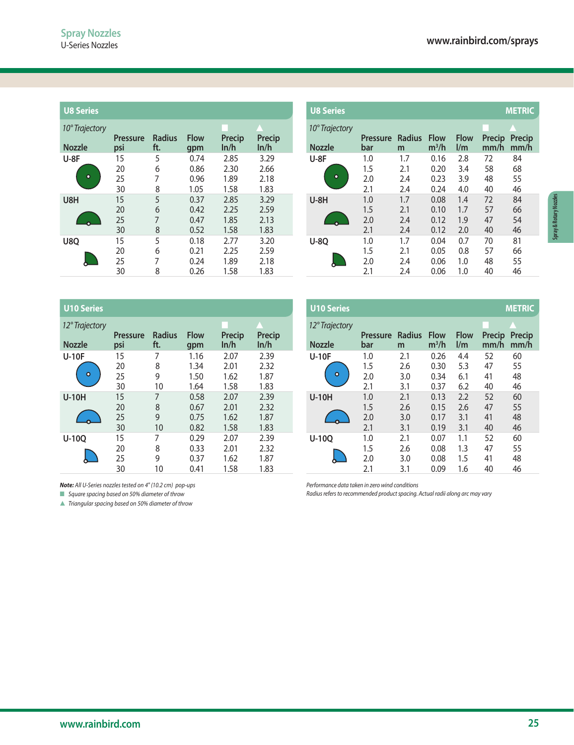| <b>U8 Series</b> |                        |                      |                    |                |                       |
|------------------|------------------------|----------------------|--------------------|----------------|-----------------------|
| 10° Trajectory   |                        |                      |                    |                |                       |
| <b>Nozzle</b>    | <b>Pressure</b><br>psi | <b>Radius</b><br>ft. | <b>Flow</b><br>gpm | Precip<br>ln/h | <b>Precip</b><br>ln/h |
| $U-8F$           | 15                     | 5                    | 0.74               | 2.85           | 3.29                  |
|                  | 20                     | 6                    | 0.86               | 2.30           | 2.66                  |
| ۰                | 25                     | 7                    | 0.96               | 1.89           | 2.18                  |
|                  | 30                     | 8                    | 1.05               | 1.58           | 1.83                  |
| U8H              | 15                     | 5                    | 0.37               | 2.85           | 3.29                  |
|                  | 20                     | 6                    | 0.42               | 2.25           | 2.59                  |
|                  | 25                     | 7                    | 0.47               | 1.85           | 2.13                  |
|                  | 30                     | 8                    | 0.52               | 1.58           | 1.83                  |
| <b>U8O</b>       | 15                     | 5                    | 0.18               | 2.77           | 3.20                  |
|                  | 20                     | 6                    | 0.21               | 2.25           | 2.59                  |
|                  | 25                     | 7                    | 0.24               | 1.89           | 2.18                  |
|                  | 30                     | 8                    | 0.26               | 1.58           | 1.83                  |

| <b>U8 Series</b>         |                        |                      |                    |                |                | <b>U8 Series</b>                |                        |                    |                        |                    |                | <b>METRIC</b>  |
|--------------------------|------------------------|----------------------|--------------------|----------------|----------------|---------------------------------|------------------------|--------------------|------------------------|--------------------|----------------|----------------|
| 10° Trajectory<br>Nozzle | <b>Pressure</b><br>psi | <b>Radius</b><br>ft. | <b>Flow</b><br>gpm | Precip<br>ln/h | Precip<br>ln/h | 10° Trajectory<br><b>Nozzle</b> | <b>Pressure</b><br>bar | <b>Radius</b><br>m | <b>Flow</b><br>$m^3/h$ | <b>Flow</b><br>1/m | Precip<br>mm/h | Precip<br>mm/h |
| U-8F                     | 15                     | 5                    | 0.74               | 2.85           | 3.29           | $U-8F$                          | 1.0                    | 1.7                | 0.16                   | 2.8                | 72             | 84             |
|                          | 20                     | 6                    | 0.86               | 2.30           | 2.66           |                                 | 1.5                    | 2.1                | 0.20                   | 3.4                | 58             | 68             |
| ۰                        | 25                     |                      | 0.96               | 1.89           | 2.18           | $\bullet$                       | 2.0                    | 2.4                | 0.23                   | 3.9                | 48             | 55             |
|                          | 30                     | 8                    | 1.05               | 1.58           | 1.83           |                                 | 2.1                    | 2.4                | 0.24                   | 4.0                | 40             | 46             |
| U8H                      | 15                     | 5                    | 0.37               | 2.85           | 3.29           | $U-8H$                          | 1.0                    | 1.7                | 0.08                   | 1.4                | 72             | 84             |
|                          | 20                     | 6                    | 0.42               | 2.25           | 2.59           |                                 | 1.5                    | 2.1                | 0.10                   | 1.7                | 57             | 66             |
|                          | 25                     | 7                    | 0.47               | 1.85           | 2.13           |                                 | 2.0                    | 2.4                | 0.12                   | 1.9                | 47             | 54             |
|                          | 30                     | 8                    | 0.52               | 1.58           | 1.83           |                                 | 2.1                    | 2.4                | 0.12                   | 2.0                | 40             | 46             |
| U8Q                      | 15                     | 5                    | 0.18               | 2.77           | 3.20           | <b>U-8Q</b>                     | 1.0                    | 1.7                | 0.04                   | 0.7                | 70             | 81             |
|                          | 20                     | 6                    | 0.21               | 2.25           | 2.59           |                                 | 1.5                    | 2.1                | 0.05                   | 0.8                | 57             | 66             |
|                          | 25                     | 7                    | 0.24               | 1.89           | 2.18           |                                 | 2.0                    | 2.4                | 0.06                   | 1.0                | 48             | 55             |
|                          | 30                     | 8                    | 0.26               | 1.58           | 1.83           |                                 | 2.1                    | 2.4                | 0.06                   | 1.0                | 40             | 46             |

| <b>U10 Series</b>       |                        |                      |                    |                |                       |
|-------------------------|------------------------|----------------------|--------------------|----------------|-----------------------|
| 12° Trajectory          |                        |                      |                    |                |                       |
| <b>Nozzle</b>           | <b>Pressure</b><br>psi | <b>Radius</b><br>ft. | <b>Flow</b><br>gpm | Precip<br>ln/h | <b>Precip</b><br>ln/h |
| <b>U-10F</b>            | 15                     | 7                    | 1.16               | 2.07           | 2.39                  |
|                         | 20                     | 8                    | 1.34               | 2.01           | 2.32                  |
| $\overline{\mathbf{o}}$ | 25                     | 9                    | 1.50               | 1.62           | 1.87                  |
|                         | 30                     | 10                   | 1.64               | 1.58           | 1.83                  |
| <b>U-10H</b>            | 15                     | 7                    | 0.58               | 2.07           | 2.39                  |
|                         | 20                     | 8                    | 0.67               | 2.01           | 2.32                  |
|                         | 25                     | 9                    | 0.75               | 1.62           | 1.87                  |
|                         | 30                     | 10                   | 0.82               | 1.58           | 1.83                  |
| U-100                   | 15                     | 7                    | 0.29               | 2.07           | 2.39                  |
|                         | 20                     | 8                    | 0.33               | 2.01           | 2.32                  |
|                         | 25                     | 9                    | 0.37               | 1.62           | 1.87                  |
|                         | 30                     | 10                   | 0.41               | 1.58           | 1.83                  |

| <b>U10 Series</b>        |                        |                      |                              |                              |                              | <b>U10 Series</b> |                |                          |                          |                              |                                        |                      | <b>METRIC</b>        |
|--------------------------|------------------------|----------------------|------------------------------|------------------------------|------------------------------|-------------------|----------------|--------------------------|--------------------------|------------------------------|----------------------------------------|----------------------|----------------------|
| 12° Trajectory<br>Nozzle | <b>Pressure</b><br>psi | <b>Radius</b><br>ft. | <b>Flow</b><br>gpm           | Precip<br>ln/h               | Precip<br>ln/h               | <b>Nozzle</b>     | 12° Trajectory | <b>Pressure</b><br>bar   | <b>Radius</b><br>m       | <b>Flow</b><br>$m^3/h$       | <b>Flow</b><br>$\mathsf{I}/\mathsf{m}$ | Precip<br>mm/h       | Precip<br>mm/h       |
| <b>U-10F</b><br>$\circ$  | 15<br>20<br>25<br>30   | 7<br>8<br>9<br>10    | 1.16<br>1.34<br>1.50<br>1.64 | 2.07<br>2.01<br>1.62<br>1.58 | 2.39<br>2.32<br>1.87<br>1.83 | <b>U-10F</b>      | $\circ$        | 1.0<br>1.5<br>2.0<br>2.1 | 2.1<br>2.6<br>3.0<br>3.1 | 0.26<br>0.30<br>0.34<br>0.37 | 4.4<br>5.3<br>6.1<br>6.2               | 52<br>47<br>41<br>40 | 60<br>55<br>48<br>46 |
| <b>U-10H</b>             | 15<br>20<br>25<br>30   | 7<br>8<br>9<br>10    | 0.58<br>0.67<br>0.75<br>0.82 | 2.07<br>2.01<br>1.62<br>1.58 | 2.39<br>2.32<br>1.87<br>1.83 | <b>U-10H</b>      |                | 1.0<br>1.5<br>2.0<br>2.1 | 2.1<br>2.6<br>3.0<br>3.1 | 0.13<br>0.15<br>0.17<br>0.19 | 2.2<br>2.6<br>3.1<br>3.1               | 52<br>47<br>41<br>40 | 60<br>55<br>48<br>46 |
| U-10Q                    | 15<br>20<br>25<br>30   | 7<br>8<br>9<br>10    | 0.29<br>0.33<br>0.37<br>0.41 | 2.07<br>2.01<br>1.62<br>1.58 | 2.39<br>2.32<br>1.87<br>1.83 | $U-100$           |                | 1.0<br>1.5<br>2.0<br>2.1 | 2.1<br>2.6<br>3.0<br>3.1 | 0.07<br>0.08<br>0.08<br>0.09 | 1.1<br>1.3<br>1.5<br>1.6               | 52<br>47<br>41<br>40 | 60<br>55<br>48<br>46 |

*Note: All U-Series nozzles tested on 4" (10.2 cm) pop-ups*

■ *Square spacing based on 50% diameter of throw* 

s *Triangular spacing based on 50% diameter of throw*

*Performance data taken in zero wind conditions*

*Radius refers to recommended product spacing. Actual radii along arc may vary*